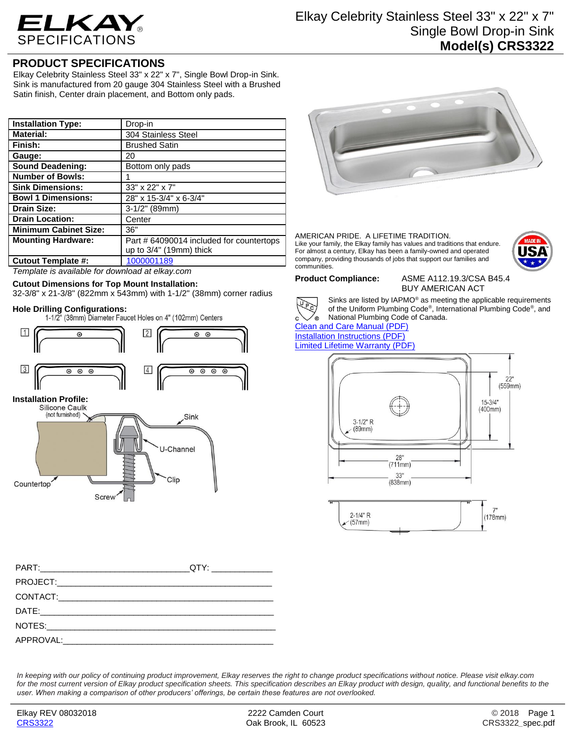

## **PRODUCT SPECIFICATIONS**

Elkay Celebrity Stainless Steel 33" x 22" x 7", Single Bowl Drop-in Sink. Sink is manufactured from 20 gauge 304 Stainless Steel with a Brushed Satin finish, Center drain placement, and Bottom only pads.

| <b>Installation Type:</b>    | Drop-in                                  |
|------------------------------|------------------------------------------|
| <b>Material:</b>             | 304 Stainless Steel                      |
| Finish:                      | <b>Brushed Satin</b>                     |
| Gauge:                       | 20                                       |
| <b>Sound Deadening:</b>      | Bottom only pads                         |
| <b>Number of Bowls:</b>      |                                          |
| <b>Sink Dimensions:</b>      | 33" x 22" x 7"                           |
| <b>Bowl 1 Dimensions:</b>    | 28" x 15-3/4" x 6-3/4"                   |
| <b>Drain Size:</b>           | 3-1/2" (89mm)                            |
| <b>Drain Location:</b>       | Center                                   |
| <b>Minimum Cabinet Size:</b> | 36"                                      |
| <b>Mounting Hardware:</b>    | Part # 64090014 included for countertops |
|                              | up to 3/4" (19mm) thick                  |
| <b>Cutout Template #:</b>    | 1000001189                               |

*Template is available for download at elkay.com*

## **Cutout Dimensions for Top Mount Installation:**

32-3/8" x 21-3/8" (822mm x 543mm) with 1-1/2" (38mm) corner radius

Hole Drilling Configurations:<br>1-1/2" (38mm) Diameter Faucet Holes on 4" (102mm) Centers



# **Installation Profile:**





### AMERICAN PRIDE. A LIFETIME TRADITION. Like your family, the Elkay family has values and traditions that endure. For almost a century, Elkay has been a family-owned and operated company, providing thousands of jobs that support our families and communities.



**Product Compliance:** ASME A112.19.3/CSA B45.4 BUY AMERICAN ACT



Sinks are listed by IAPMO® as meeting the applicable requirements of the Uniform Plumbing Code® , International Plumbing Code® , and National Plumbing Code of Canada.

[Clean and Care Manual \(PDF\)](http://www.elkay.com/wcsstore/lkdocs/care-cleaning-install-warranty-sheets/residential%20and%20commercial%20care%20%20cleaning.pdf) [Installation Instructions \(PDF\)](http://www.elkay.com/wcsstore/lkdocs/care-cleaning-install-warranty-sheets/74180147.pdf) [Limited Lifetime Warranty](http://www.elkay.com/wcsstore/lkdocs/care-cleaning-install-warranty-sheets/residential%20sinks%20warranty.pdf) (PDF)



*In keeping with our policy of continuing product improvement, Elkay reserves the right to change product specifications without notice. Please visit elkay.com for the most current version of Elkay product specification sheets. This specification describes an Elkay product with design, quality, and functional benefits to the user. When making a comparison of other producers' offerings, be certain these features are not overlooked.*